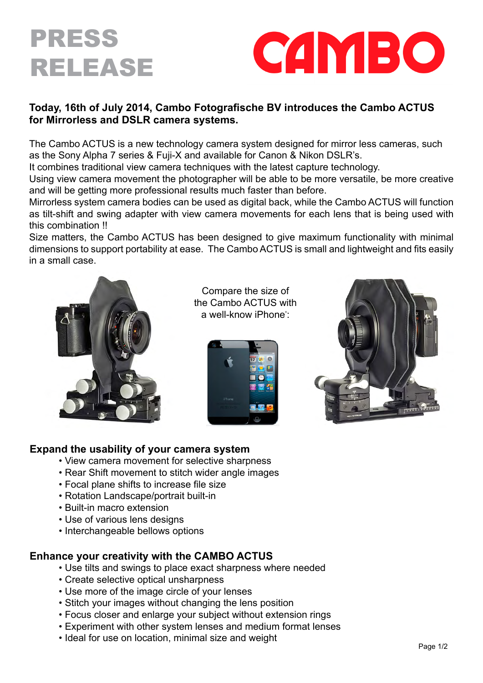



## **Today, 16th of July 2014, Cambo Fotografische BV introduces the Cambo ACTUS for Mirrorless and DSLR camera systems.**

The Cambo ACTUS is a new technology camera system designed for mirror less cameras, such as the Sony Alpha 7 series & Fuji-X and available for Canon & Nikon DSLR's.

It combines traditional view camera techniques with the latest capture technology.

Using view camera movement the photographer will be able to be more versatile, be more creative and will be getting more professional results much faster than before.

Mirrorless system camera bodies can be used as digital back, while the Cambo ACTUS will function as tilt-shift and swing adapter with view camera movements for each lens that is being used with this combination !!

Size matters, the Cambo ACTUS has been designed to give maximum functionality with minimal dimensions to support portability at ease. The Cambo ACTUS is small and lightweight and fits easily in a small case.



Compare the size of the Cambo ACTUS with a well-know iPhone°:





### **Expand the usability of your camera system**

- View camera movement for selective sharpness
- Rear Shift movement to stitch wider angle images
- Focal plane shifts to increase file size
- Rotation Landscape/portrait built-in
- Built-in macro extension
- Use of various lens designs
- Interchangeable bellows options

### **Enhance your creativity with the CAMBO ACTUS**

- Use tilts and swings to place exact sharpness where needed
- Create selective optical unsharpness
- Use more of the image circle of your lenses
- Stitch your images without changing the lens position
- Focus closer and enlarge your subject without extension rings
- Experiment with other system lenses and medium format lenses
- Ideal for use on location, minimal size and weight